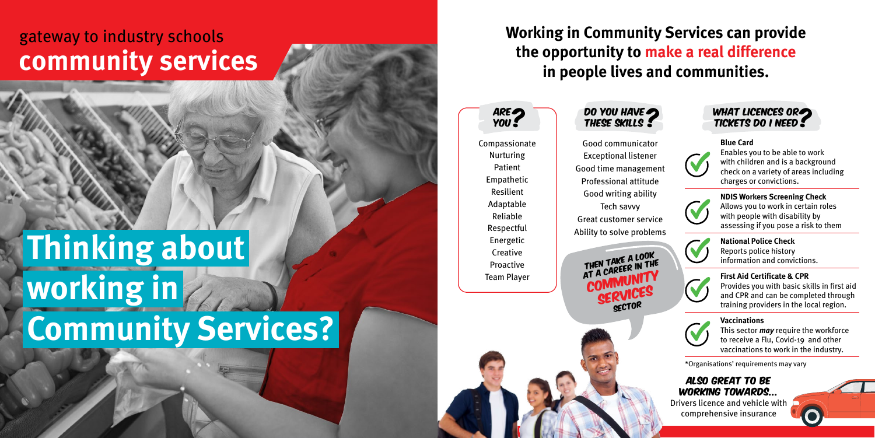### **Working in Community Services can provide the opportunity to make a real difference in people lives and communities.**

Compassionate Nurturing Patient Empathetic Resilient Adaptable Reliable Respectful Energetic **Creative** Proactive Team Player





Also great to be working towards... Drivers licence and vehicle with

comprehensive insurance

\*Organisations' requirements may vary

# **Thinking about working in Community Services?**

## gateway to industry schools **community services**